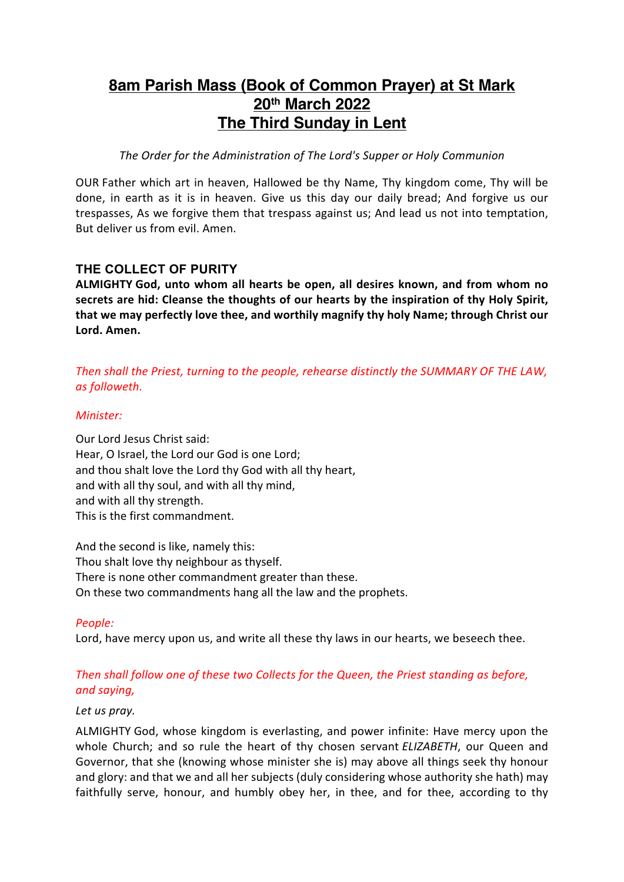# **8am Parish Mass (Book of Common Prayer) at St Mark 20th March 2022 The Third Sunday in Lent**

*The Order for the Administration of The Lord's Supper or Holy Communion*

OUR Father which art in heaven, Hallowed be thy Name, Thy kingdom come, Thy will be done, in earth as it is in heaven. Give us this day our daily bread; And forgive us our trespasses, As we forgive them that trespass against us; And lead us not into temptation, But deliver us from evil. Amen.

# **THE COLLECT OF PURITY**

**ALMIGHTY God, unto whom all hearts be open, all desires known, and from whom no secrets are hid: Cleanse the thoughts of our hearts by the inspiration of thy Holy Spirit, that we may perfectly love thee, and worthily magnify thy holy Name; through Christ our Lord. Amen.**

## *Then shall the Priest, turning to the people, rehearse distinctly the SUMMARY OF THE LAW, as followeth.*

## *Minister:*

Our Lord Jesus Christ said: Hear, O Israel, the Lord our God is one Lord; and thou shalt love the Lord thy God with all thy heart, and with all thy soul, and with all thy mind, and with all thy strength. This is the first commandment.

And the second is like, namely this: Thou shalt love thy neighbour as thyself. There is none other commandment greater than these. On these two commandments hang all the law and the prophets.

*People:* 

Lord, have mercy upon us, and write all these thy laws in our hearts, we beseech thee.

## *Then shall follow one of these two Collects for the Queen, the Priest standing as before, and saying,*

#### *Let us pray.*

ALMIGHTY God, whose kingdom is everlasting, and power infinite: Have mercy upon the whole Church; and so rule the heart of thy chosen servant *ELIZABETH*, our Queen and Governor, that she (knowing whose minister she is) may above all things seek thy honour and glory: and that we and all her subjects (duly considering whose authority she hath) may faithfully serve, honour, and humbly obey her, in thee, and for thee, according to thy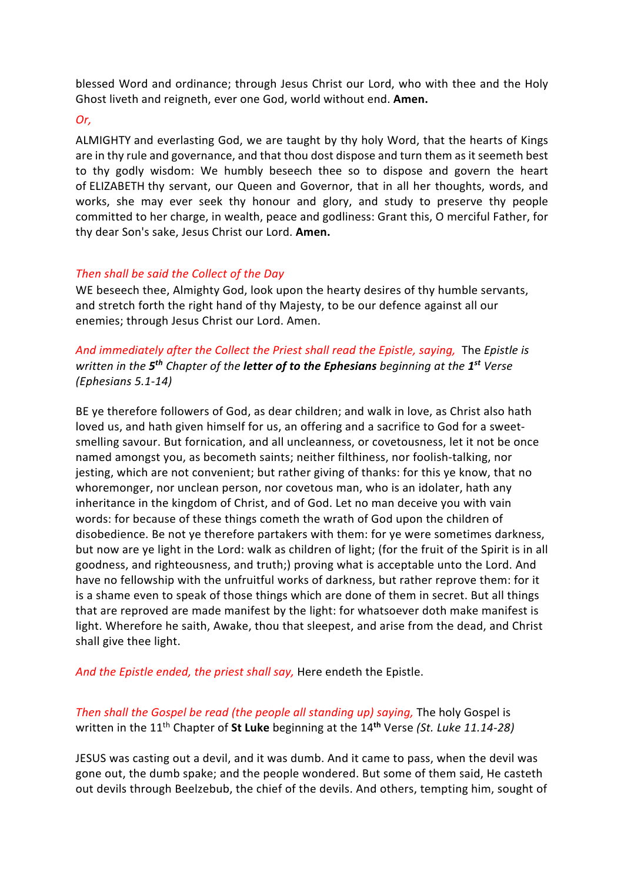blessed Word and ordinance; through Jesus Christ our Lord, who with thee and the Holy Ghost liveth and reigneth, ever one God, world without end. **Amen.**

#### *Or,*

ALMIGHTY and everlasting God, we are taught by thy holy Word, that the hearts of Kings are in thy rule and governance, and that thou dost dispose and turn them as it seemeth best to thy godly wisdom: We humbly beseech thee so to dispose and govern the heart of ELIZABETH thy servant, our Queen and Governor, that in all her thoughts, words, and works, she may ever seek thy honour and glory, and study to preserve thy people committed to her charge, in wealth, peace and godliness: Grant this, O merciful Father, for thy dear Son's sake, Jesus Christ our Lord. **Amen.**

## *Then shall be said the Collect of the Day*

WE beseech thee, Almighty God, look upon the hearty desires of thy humble servants, and stretch forth the right hand of thy Majesty, to be our defence against all our enemies; through Jesus Christ our Lord. Amen.

*And immediately after the Collect the Priest shall read the Epistle, saying,* The *Epistle is written in the 5th Chapter of the letter of to the Ephesians beginning at the 1st Verse (Ephesians 5.1-14)*

BE ye therefore followers of God, as dear children; and walk in love, as Christ also hath loved us, and hath given himself for us, an offering and a sacrifice to God for a sweetsmelling savour. But fornication, and all uncleanness, or covetousness, let it not be once named amongst you, as becometh saints; neither filthiness, nor foolish-talking, nor jesting, which are not convenient; but rather giving of thanks: for this ye know, that no whoremonger, nor unclean person, nor covetous man, who is an idolater, hath any inheritance in the kingdom of Christ, and of God. Let no man deceive you with vain words: for because of these things cometh the wrath of God upon the children of disobedience. Be not ye therefore partakers with them: for ye were sometimes darkness, but now are ye light in the Lord: walk as children of light; (for the fruit of the Spirit is in all goodness, and righteousness, and truth;) proving what is acceptable unto the Lord. And have no fellowship with the unfruitful works of darkness, but rather reprove them: for it is a shame even to speak of those things which are done of them in secret. But all things that are reproved are made manifest by the light: for whatsoever doth make manifest is light. Wherefore he saith, Awake, thou that sleepest, and arise from the dead, and Christ shall give thee light.

*And the Epistle ended, the priest shall say,* Here endeth the Epistle.

*Then shall the Gospel be read (the people all standing up) saying,* The holy Gospel is written in the 11th Chapter of **St Luke** beginning at the 14**th** Verse *(St. Luke 11.14-28)*

JESUS was casting out a devil, and it was dumb. And it came to pass, when the devil was gone out, the dumb spake; and the people wondered. But some of them said, He casteth out devils through Beelzebub, the chief of the devils. And others, tempting him, sought of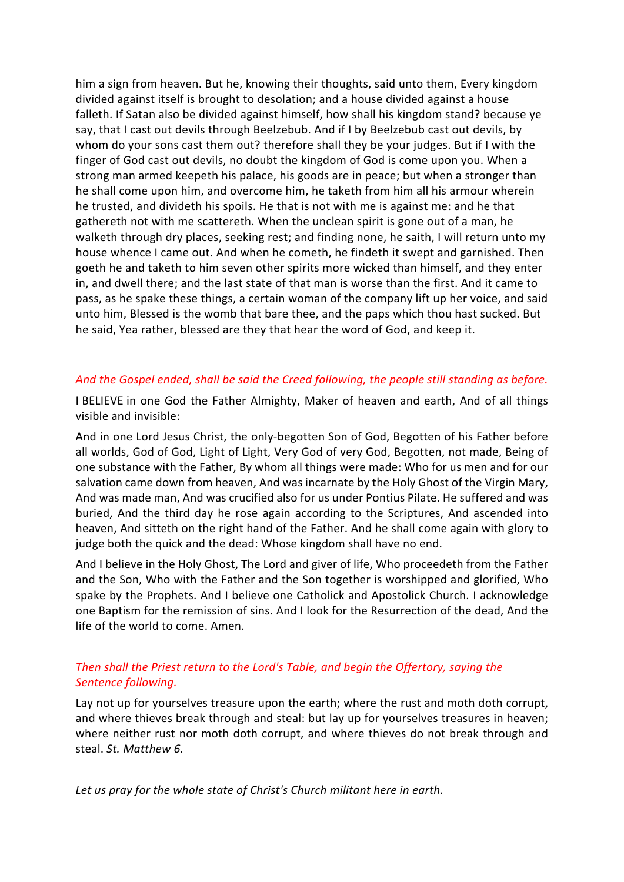him a sign from heaven. But he, knowing their thoughts, said unto them, Every kingdom divided against itself is brought to desolation; and a house divided against a house falleth. If Satan also be divided against himself, how shall his kingdom stand? because ye say, that I cast out devils through Beelzebub. And if I by Beelzebub cast out devils, by whom do your sons cast them out? therefore shall they be your judges. But if I with the finger of God cast out devils, no doubt the kingdom of God is come upon you. When a strong man armed keepeth his palace, his goods are in peace; but when a stronger than he shall come upon him, and overcome him, he taketh from him all his armour wherein he trusted, and divideth his spoils. He that is not with me is against me: and he that gathereth not with me scattereth. When the unclean spirit is gone out of a man, he walketh through dry places, seeking rest; and finding none, he saith, I will return unto my house whence I came out. And when he cometh, he findeth it swept and garnished. Then goeth he and taketh to him seven other spirits more wicked than himself, and they enter in, and dwell there; and the last state of that man is worse than the first. And it came to pass, as he spake these things, a certain woman of the company lift up her voice, and said unto him, Blessed is the womb that bare thee, and the paps which thou hast sucked. But he said, Yea rather, blessed are they that hear the word of God, and keep it.

## *And the Gospel ended, shall be said the Creed following, the people still standing as before.*

I BELIEVE in one God the Father Almighty, Maker of heaven and earth, And of all things visible and invisible:

And in one Lord Jesus Christ, the only-begotten Son of God, Begotten of his Father before all worlds, God of God, Light of Light, Very God of very God, Begotten, not made, Being of one substance with the Father, By whom all things were made: Who for us men and for our salvation came down from heaven, And was incarnate by the Holy Ghost of the Virgin Mary, And was made man, And was crucified also for us under Pontius Pilate. He suffered and was buried, And the third day he rose again according to the Scriptures, And ascended into heaven, And sitteth on the right hand of the Father. And he shall come again with glory to judge both the quick and the dead: Whose kingdom shall have no end.

And I believe in the Holy Ghost, The Lord and giver of life, Who proceedeth from the Father and the Son, Who with the Father and the Son together is worshipped and glorified, Who spake by the Prophets. And I believe one Catholick and Apostolick Church. I acknowledge one Baptism for the remission of sins. And I look for the Resurrection of the dead, And the life of the world to come. Amen.

# *Then shall the Priest return to the Lord's Table, and begin the Offertory, saying the Sentence following.*

Lay not up for yourselves treasure upon the earth; where the rust and moth doth corrupt, and where thieves break through and steal: but lay up for yourselves treasures in heaven; where neither rust nor moth doth corrupt, and where thieves do not break through and steal. *St. Matthew 6.*

*Let us pray for the whole state of Christ's Church militant here in earth.*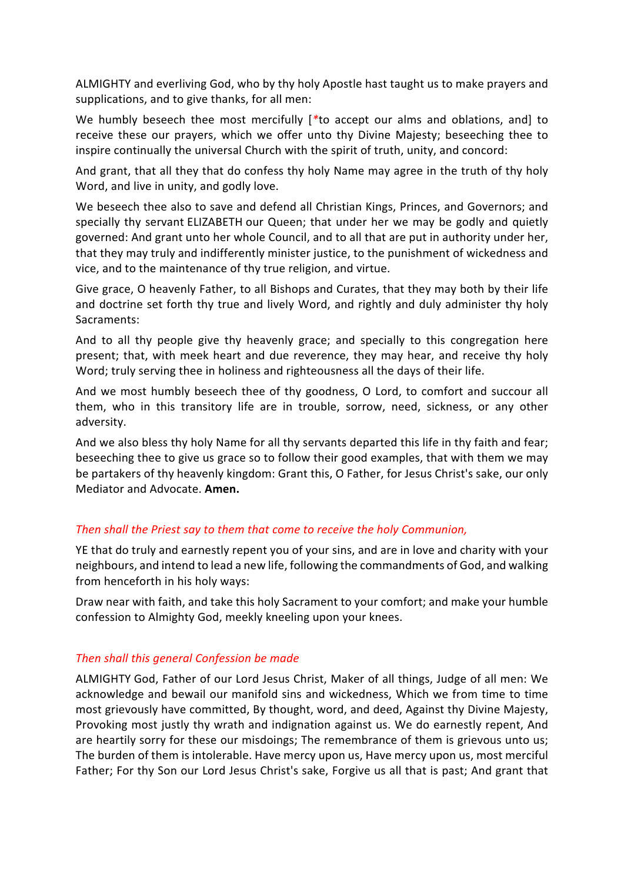ALMIGHTY and everliving God, who by thy holy Apostle hast taught us to make prayers and supplications, and to give thanks, for all men:

We humbly beseech thee most mercifully [*\**to accept our alms and oblations, and] to receive these our prayers, which we offer unto thy Divine Majesty; beseeching thee to inspire continually the universal Church with the spirit of truth, unity, and concord:

And grant, that all they that do confess thy holy Name may agree in the truth of thy holy Word, and live in unity, and godly love.

We beseech thee also to save and defend all Christian Kings, Princes, and Governors; and specially thy servant ELIZABETH our Queen; that under her we may be godly and quietly governed: And grant unto her whole Council, and to all that are put in authority under her, that they may truly and indifferently minister justice, to the punishment of wickedness and vice, and to the maintenance of thy true religion, and virtue.

Give grace, O heavenly Father, to all Bishops and Curates, that they may both by their life and doctrine set forth thy true and lively Word, and rightly and duly administer thy holy Sacraments:

And to all thy people give thy heavenly grace; and specially to this congregation here present; that, with meek heart and due reverence, they may hear, and receive thy holy Word; truly serving thee in holiness and righteousness all the days of their life.

And we most humbly beseech thee of thy goodness, O Lord, to comfort and succour all them, who in this transitory life are in trouble, sorrow, need, sickness, or any other adversity.

And we also bless thy holy Name for all thy servants departed this life in thy faith and fear; beseeching thee to give us grace so to follow their good examples, that with them we may be partakers of thy heavenly kingdom: Grant this, O Father, for Jesus Christ's sake, our only Mediator and Advocate. **Amen.**

#### *Then shall the Priest say to them that come to receive the holy Communion,*

YE that do truly and earnestly repent you of your sins, and are in love and charity with your neighbours, and intend to lead a new life, following the commandments of God, and walking from henceforth in his holy ways:

Draw near with faith, and take this holy Sacrament to your comfort; and make your humble confession to Almighty God, meekly kneeling upon your knees.

#### *Then shall this general Confession be made*

ALMIGHTY God, Father of our Lord Jesus Christ, Maker of all things, Judge of all men: We acknowledge and bewail our manifold sins and wickedness, Which we from time to time most grievously have committed, By thought, word, and deed, Against thy Divine Majesty, Provoking most justly thy wrath and indignation against us. We do earnestly repent, And are heartily sorry for these our misdoings; The remembrance of them is grievous unto us; The burden of them is intolerable. Have mercy upon us, Have mercy upon us, most merciful Father; For thy Son our Lord Jesus Christ's sake, Forgive us all that is past; And grant that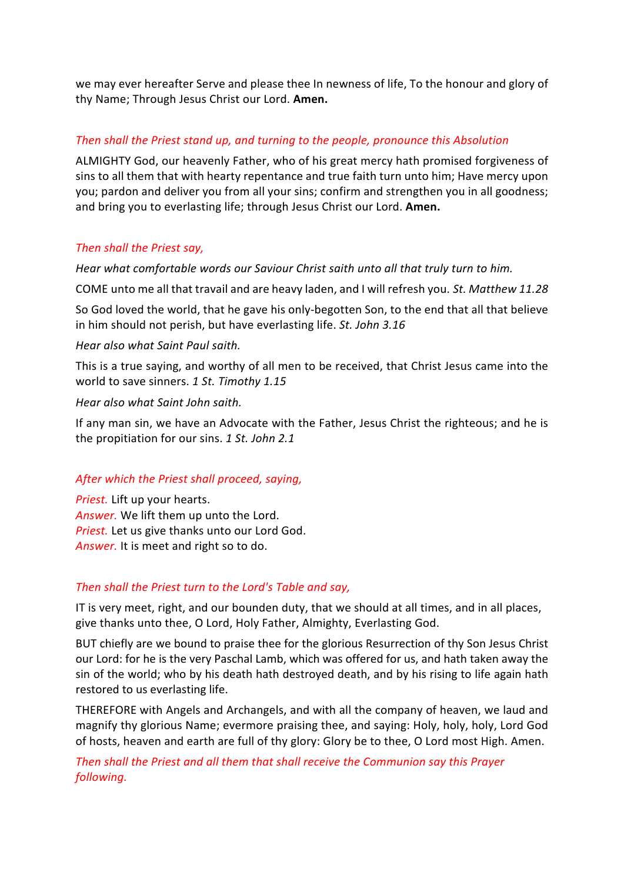we may ever hereafter Serve and please thee In newness of life, To the honour and glory of thy Name; Through Jesus Christ our Lord. **Amen.**

## *Then shall the Priest stand up, and turning to the people, pronounce this Absolution*

ALMIGHTY God, our heavenly Father, who of his great mercy hath promised forgiveness of sins to all them that with hearty repentance and true faith turn unto him; Have mercy upon you; pardon and deliver you from all your sins; confirm and strengthen you in all goodness; and bring you to everlasting life; through Jesus Christ our Lord. **Amen.**

## *Then shall the Priest say,*

*Hear what comfortable words our Saviour Christ saith unto all that truly turn to him.*

COME unto me all that travail and are heavy laden, and I will refresh you. *St. Matthew 11.28*

So God loved the world, that he gave his only-begotten Son, to the end that all that believe in him should not perish, but have everlasting life. *St. John 3.16*

#### *Hear also what Saint Paul saith.*

This is a true saying, and worthy of all men to be received, that Christ Jesus came into the world to save sinners. *1 St. Timothy 1.15*

#### *Hear also what Saint John saith.*

If any man sin, we have an Advocate with the Father, Jesus Christ the righteous; and he is the propitiation for our sins. *1 St. John 2.1*

#### *After which the Priest shall proceed, saying,*

*Priest.* Lift up your hearts. *Answer.* We lift them up unto the Lord. *Priest.* Let us give thanks unto our Lord God. *Answer.* It is meet and right so to do.

#### *Then shall the Priest turn to the Lord's Table and say,*

IT is very meet, right, and our bounden duty, that we should at all times, and in all places, give thanks unto thee, O Lord, Holy Father, Almighty, Everlasting God.

BUT chiefly are we bound to praise thee for the glorious Resurrection of thy Son Jesus Christ our Lord: for he is the very Paschal Lamb, which was offered for us, and hath taken away the sin of the world; who by his death hath destroyed death, and by his rising to life again hath restored to us everlasting life.

THEREFORE with Angels and Archangels, and with all the company of heaven, we laud and magnify thy glorious Name; evermore praising thee, and saying: Holy, holy, holy, Lord God of hosts, heaven and earth are full of thy glory: Glory be to thee, O Lord most High. Amen.

*Then shall the Priest and all them that shall receive the Communion say this Prayer following.*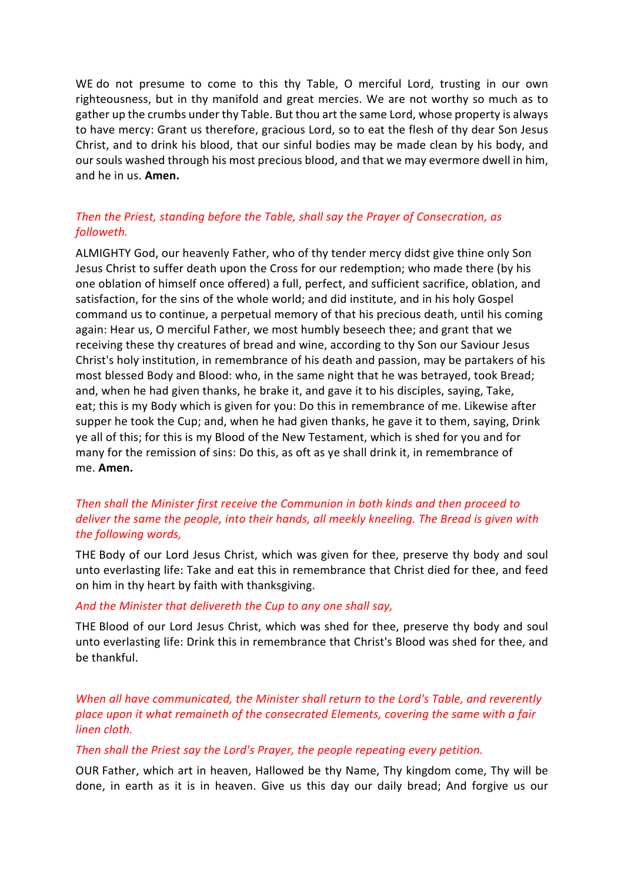WE do not presume to come to this thy Table, O merciful Lord, trusting in our own righteousness, but in thy manifold and great mercies. We are not worthy so much as to gather up the crumbs under thy Table. But thou art the same Lord, whose property is always to have mercy: Grant us therefore, gracious Lord, so to eat the flesh of thy dear Son Jesus Christ, and to drink his blood, that our sinful bodies may be made clean by his body, and our souls washed through his most precious blood, and that we may evermore dwell in him, and he in us. **Amen.**

## *Then the Priest, standing before the Table, shall say the Prayer of Consecration, as followeth.*

ALMIGHTY God, our heavenly Father, who of thy tender mercy didst give thine only Son Jesus Christ to suffer death upon the Cross for our redemption; who made there (by his one oblation of himself once offered) a full, perfect, and sufficient sacrifice, oblation, and satisfaction, for the sins of the whole world; and did institute, and in his holy Gospel command us to continue, a perpetual memory of that his precious death, until his coming again: Hear us, O merciful Father, we most humbly beseech thee; and grant that we receiving these thy creatures of bread and wine, according to thy Son our Saviour Jesus Christ's holy institution, in remembrance of his death and passion, may be partakers of his most blessed Body and Blood: who, in the same night that he was betrayed, took Bread; and, when he had given thanks, he brake it, and gave it to his disciples, saying, Take, eat; this is my Body which is given for you: Do this in remembrance of me. Likewise after supper he took the Cup; and, when he had given thanks, he gave it to them, saying, Drink ye all of this; for this is my Blood of the New Testament, which is shed for you and for many for the remission of sins: Do this, as oft as ye shall drink it, in remembrance of me. **Amen.**

## *Then shall the Minister first receive the Communion in both kinds and then proceed to deliver the same the people, into their hands, all meekly kneeling. The Bread is given with the following words,*

THE Body of our Lord Jesus Christ, which was given for thee, preserve thy body and soul unto everlasting life: Take and eat this in remembrance that Christ died for thee, and feed on him in thy heart by faith with thanksgiving.

#### *And the Minister that delivereth the Cup to any one shall say,*

THE Blood of our Lord Jesus Christ, which was shed for thee, preserve thy body and soul unto everlasting life: Drink this in remembrance that Christ's Blood was shed for thee, and be thankful.

*When all have communicated, the Minister shall return to the Lord's Table, and reverently place upon it what remaineth of the consecrated Elements, covering the same with a fair linen cloth.*

#### *Then shall the Priest say the Lord's Prayer, the people repeating every petition.*

OUR Father, which art in heaven, Hallowed be thy Name, Thy kingdom come, Thy will be done, in earth as it is in heaven. Give us this day our daily bread; And forgive us our